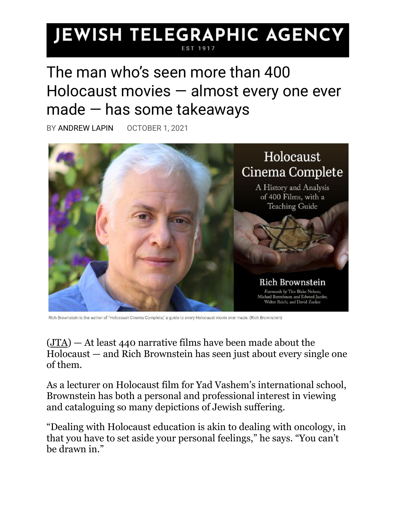# JEWISH TELEGRAPHIC AGENCY

## The man who's seen more than 400 Holocaust movies — almost every one ever made — has some takeaways

BY [ANDREW LAPIN](https://www.jta.org/author/andrew-lapin) OCTOBER 1, 2021



Rich Brownstein is the author of "Holocaust Cinema Complete," a guide to every Holocaust movie ever made. (Rich Brownstein)

 $(JTA)$  — At least 440 narrative films have been made about the Holocaust — and Rich Brownstein has seen just about every single one of them.

As a lecturer on Holocaust film for Yad Vashem's international school, Brownstein has both a personal and professional interest in viewing and cataloguing so many depictions of Jewish suffering.

"Dealing with Holocaust education is akin to dealing with oncology, in that you have to set aside your personal feelings," he says. "You can't be drawn in."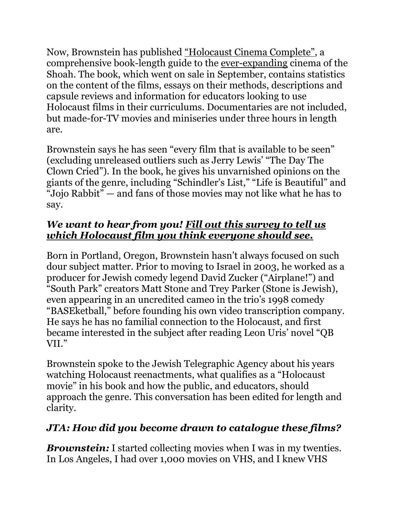Now, Brownstein has published ["Holocaust Cinema Complete"](https://www.holocaustfilms.com/), a comprehensive book-length guide to the [ever-expanding](https://www.jta.org/2021/09/24/culture/the-auschwitz-report-slovakian-film-follows-real-life-escapees-who-tried-to-warn-the-world) cinema of the Shoah. The book, which went on sale in September, contains statistics on the content of the films, essays on their methods, descriptions and capsule reviews and information for educators looking to use Holocaust films in their curriculums. Documentaries are not included, but made-for-TV movies and miniseries under three hours in length are.

Brownstein says he has seen "every film that is available to be seen" (excluding unreleased outliers such as Jerry Lewis' "The Day The Clown Cried"). In the book, he gives his unvarnished opinions on the giants of the genre, including "Schindler's List," "Life is Beautiful" and "Jojo Rabbit"  $-$  and fans of those movies may not like what he has to say.

#### *We want to hear from you! [Fill out this survey to tell us](https://docs.google.com/forms/d/e/1FAIpQLSemNY0xVLQfqfP2y3I73hW2zMUSemGnKLQzYyOkzNf-X-vnAw/viewform)  [which Holocaust film you think everyone should see.](https://docs.google.com/forms/d/e/1FAIpQLSemNY0xVLQfqfP2y3I73hW2zMUSemGnKLQzYyOkzNf-X-vnAw/viewform)*

Born in Portland, Oregon, Brownstein hasn't always focused on such dour subject matter. Prior to moving to Israel in 2003, he worked as a producer for Jewish comedy legend David Zucker ("Airplane!") and "South Park" creators Matt Stone and Trey Parker (Stone is Jewish), even appearing in an uncredited cameo in the trio's 1998 comedy "BASEketball," before founding his own video transcription company. He says he has no familial connection to the Holocaust, and first became interested in the subject after reading Leon Uris' novel "QB VII."

Brownstein spoke to the Jewish Telegraphic Agency about his years watching Holocaust reenactments, what qualifies as a "Holocaust movie" in his book and how the public, and educators, should approach the genre. This conversation has been edited for length and clarity.

### *JTA: How did you become drawn to catalogue these films?*

*Brownstein:* I started collecting movies when I was in my twenties. In Los Angeles, I had over 1,000 movies on VHS, and I knew VHS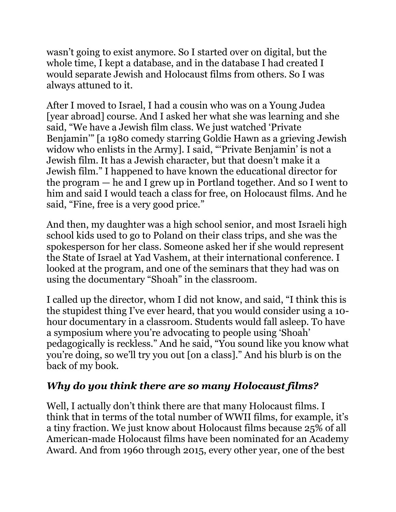wasn't going to exist anymore. So I started over on digital, but the whole time, I kept a database, and in the database I had created I would separate Jewish and Holocaust films from others. So I was always attuned to it.

After I moved to Israel, I had a cousin who was on a Young Judea [year abroad] course. And I asked her what she was learning and she said, "We have a Jewish film class. We just watched 'Private Benjamin'" [a 1980 comedy starring Goldie Hawn as a grieving Jewish widow who enlists in the Army]. I said, "'Private Benjamin' is not a Jewish film. It has a Jewish character, but that doesn't make it a Jewish film." I happened to have known the educational director for the program — he and I grew up in Portland together. And so I went to him and said I would teach a class for free, on Holocaust films. And he said, "Fine, free is a very good price."

And then, my daughter was a high school senior, and most Israeli high school kids used to go to Poland on their class trips, and she was the spokesperson for her class. Someone asked her if she would represent the State of Israel at Yad Vashem, at their international conference. I looked at the program, and one of the seminars that they had was on using the documentary "Shoah" in the classroom.

I called up the director, whom I did not know, and said, "I think this is the stupidest thing I've ever heard, that you would consider using a 10 hour documentary in a classroom. Students would fall asleep. To have a symposium where you're advocating to people using 'Shoah' pedagogically is reckless." And he said, "You sound like you know what you're doing, so we'll try you out [on a class]." And his blurb is on the back of my book.

### *Why do you think there are so many Holocaust films?*

Well, I actually don't think there are that many Holocaust films. I think that in terms of the total number of WWII films, for example, it's a tiny fraction. We just know about Holocaust films because 25% of all American-made Holocaust films have been nominated for an Academy Award. And from 1960 through 2015, every other year, one of the best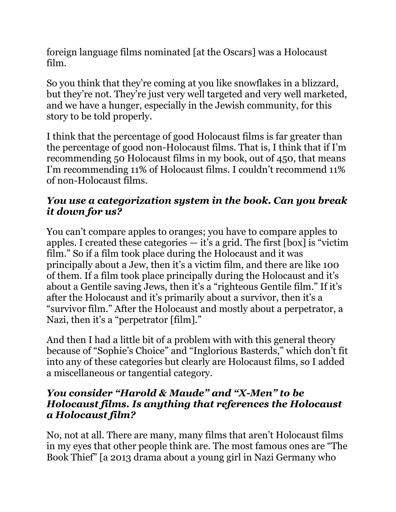foreign language films nominated [at the Oscars] was a Holocaust film.

So you think that they're coming at you like snowflakes in a blizzard, but they're not. They're just very well targeted and very well marketed, and we have a hunger, especially in the Jewish community, for this story to be told properly.

I think that the percentage of good Holocaust films is far greater than the percentage of good non-Holocaust films. That is, I think that if I'm recommending 50 Holocaust films in my book, out of 450, that means I'm recommending 11% of Holocaust films. I couldn't recommend 11% of non-Holocaust films.

#### *You use a categorization system in the book. Can you break it down for us?*

You can't compare apples to oranges; you have to compare apples to apples. I created these categories  $-$  it's a grid. The first  $[box]$  is "victim" film." So if a film took place during the Holocaust and it was principally about a Jew, then it's a victim film, and there are like 100 of them. If a film took place principally during the Holocaust and it's about a Gentile saving Jews, then it's a "righteous Gentile film." If it's after the Holocaust and it's primarily about a survivor, then it's a "survivor film." After the Holocaust and mostly about a perpetrator, a Nazi, then it's a "perpetrator [film]."

And then I had a little bit of a problem with with this general theory because of "Sophie's Choice" and "Inglorious Basterds," which don't fit into any of these categories but clearly are Holocaust films, so I added a miscellaneous or tangential category.

#### *You consider "Harold & Maude" and "X-Men" to be Holocaust films. Is anything that references the Holocaust a Holocaust film?*

No, not at all. There are many, many films that aren't Holocaust films in my eyes that other people think are. The most famous ones are "The Book Thief" [a 2013 drama about a young girl in Nazi Germany who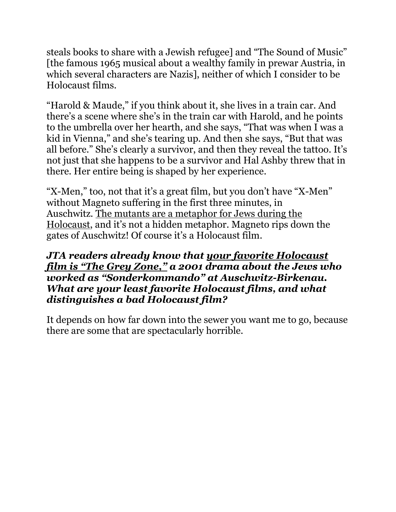steals books to share with a Jewish refugee] and "The Sound of Music" [the famous 1965 musical about a wealthy family in prewar Austria, in which several characters are Nazis], neither of which I consider to be Holocaust films.

"Harold & Maude," if you think about it, she lives in a train car. And there's a scene where she's in the train car with Harold, and he points to the umbrella over her hearth, and she says, "That was when I was a kid in Vienna," and she's tearing up. And then she says, "But that was all before." She's clearly a survivor, and then they reveal the tattoo. It's not just that she happens to be a survivor and Hal Ashby threw that in there. Her entire being is shaped by her experience.

"X-Men," too, not that it's a great film, but you don't have "X-Men" without Magneto suffering in the first three minutes, in Auschwitz. [The mutants are a metaphor for Jews during the](https://www.youtube.com/watch?v=x5E0BcQLuzw&t=1s)  [Holocaust,](https://www.youtube.com/watch?v=x5E0BcQLuzw&t=1s) and it's not a hidden metaphor. Magneto rips down the gates of Auschwitz! Of course it's a Holocaust film.

#### *JTA readers already know that [your favorite Holocaust](https://www.jta.org/2021/09/10/opinion/the-greatest-holocaust-movie-ever-made-starring-steve-buscemi-debuted-on-9-11-its-time-to-revisit-it)  [film is "The Grey Zone,"](https://www.jta.org/2021/09/10/opinion/the-greatest-holocaust-movie-ever-made-starring-steve-buscemi-debuted-on-9-11-its-time-to-revisit-it) a 2001 drama about the Jews who worked as "Sonderkommando" at Auschwitz-Birkenau. What are your least favorite Holocaust films, and what distinguishes a bad Holocaust film?*

It depends on how far down into the sewer you want me to go, because there are some that are spectacularly horrible.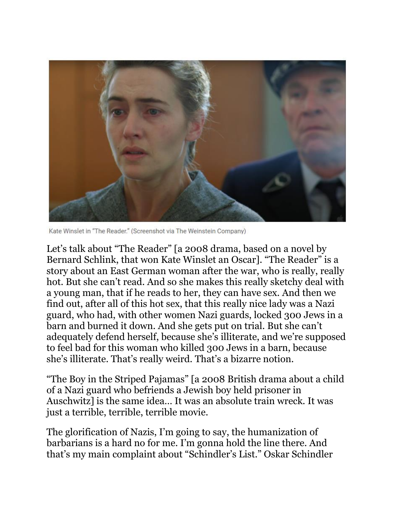

Kate Winslet in "The Reader." (Screenshot via The Weinstein Company)

Let's talk about "The Reader" [a 2008 drama, based on a novel by Bernard Schlink, that won Kate Winslet an Oscar]. "The Reader" is a story about an East German woman after the war, who is really, really hot. But she can't read. And so she makes this really sketchy deal with a young man, that if he reads to her, they can have sex. And then we find out, after all of this hot sex, that this really nice lady was a Nazi guard, who had, with other women Nazi guards, locked 300 Jews in a barn and burned it down. And she gets put on trial. But she can't adequately defend herself, because she's illiterate, and we're supposed to feel bad for this woman who killed 300 Jews in a barn, because she's illiterate. That's really weird. That's a bizarre notion.

"The Boy in the Striped Pajamas" [a 2008 British drama about a child of a Nazi guard who befriends a Jewish boy held prisoner in Auschwitz] is the same idea… It was an absolute train wreck. It was just a terrible, terrible, terrible movie.

The glorification of Nazis, I'm going to say, the humanization of barbarians is a hard no for me. I'm gonna hold the line there. And that's my main complaint about "Schindler's List." Oskar Schindler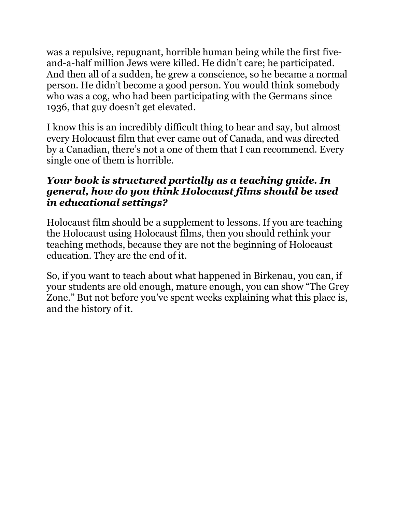was a repulsive, repugnant, horrible human being while the first fiveand-a-half million Jews were killed. He didn't care; he participated. And then all of a sudden, he grew a conscience, so he became a normal person. He didn't become a good person. You would think somebody who was a cog, who had been participating with the Germans since 1936, that guy doesn't get elevated.

I know this is an incredibly difficult thing to hear and say, but almost every Holocaust film that ever came out of Canada, and was directed by a Canadian, there's not a one of them that I can recommend. Every single one of them is horrible.

#### *Your book is structured partially as a teaching guide. In general, how do you think Holocaust films should be used in educational settings?*

Holocaust film should be a supplement to lessons. If you are teaching the Holocaust using Holocaust films, then you should rethink your teaching methods, because they are not the beginning of Holocaust education. They are the end of it.

So, if you want to teach about what happened in Birkenau, you can, if your students are old enough, mature enough, you can show "The Grey Zone." But not before you've spent weeks explaining what this place is, and the history of it.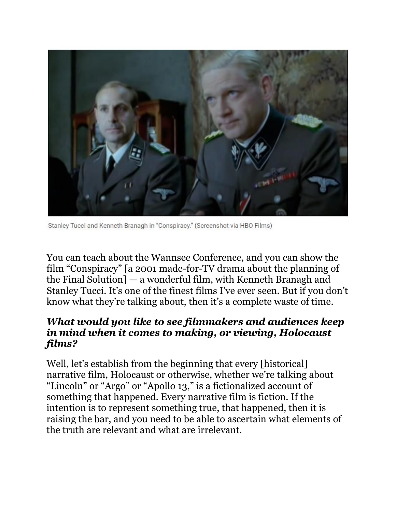

Stanley Tucci and Kenneth Branagh in "Conspiracy." (Screenshot via HBO Films)

You can teach about the Wannsee Conference, and you can show the film "Conspiracy" [a 2001 made-for-TV drama about the planning of the Final Solution] — a wonderful film, with Kenneth Branagh and Stanley Tucci. It's one of the finest films I've ever seen. But if you don't know what they're talking about, then it's a complete waste of time.

#### *What would you like to see filmmakers and audiences keep in mind when it comes to making, or viewing, Holocaust films?*

Well, let's establish from the beginning that every [historical] narrative film, Holocaust or otherwise, whether we're talking about "Lincoln" or "Argo" or "Apollo 13," is a fictionalized account of something that happened. Every narrative film is fiction. If the intention is to represent something true, that happened, then it is raising the bar, and you need to be able to ascertain what elements of the truth are relevant and what are irrelevant.